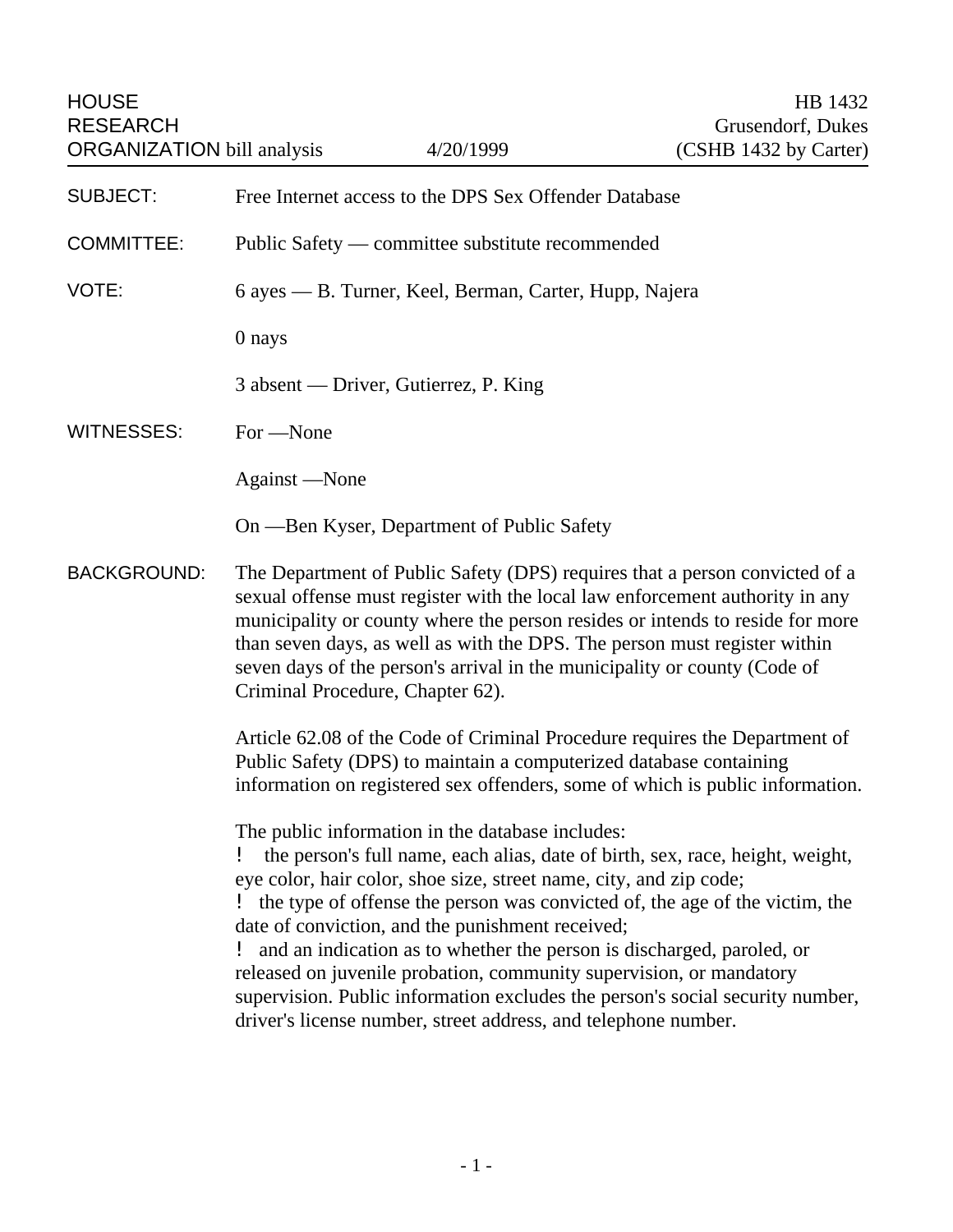HOUSE HB 1432 RESEARCH Grusendorf, Dukes ORGANIZATION bill analysis 4/20/1999 (CSHB 1432 by Carter) SUBJECT: Free Internet access to the DPS Sex Offender Database COMMITTEE: Public Safety — committee substitute recommended VOTE: 6 ayes — B. Turner, Keel, Berman, Carter, Hupp, Najera 0 nays 3 absent — Driver, Gutierrez, P. King WITNESSES: For —None Against —None On —Ben Kyser, Department of Public Safety BACKGROUND: The Department of Public Safety (DPS) requires that a person convicted of a sexual offense must register with the local law enforcement authority in any municipality or county where the person resides or intends to reside for more than seven days, as well as with the DPS. The person must register within seven days of the person's arrival in the municipality or county (Code of Criminal Procedure, Chapter 62). Article 62.08 of the Code of Criminal Procedure requires the Department of Public Safety (DPS) to maintain a computerized database containing information on registered sex offenders, some of which is public information. The public information in the database includes: ! the person's full name, each alias, date of birth, sex, race, height, weight, eye color, hair color, shoe size, street name, city, and zip code; ! the type of offense the person was convicted of, the age of the victim, the date of conviction, and the punishment received; ! and an indication as to whether the person is discharged, paroled, or released on juvenile probation, community supervision, or mandatory supervision. Public information excludes the person's social security number, driver's license number, street address, and telephone number.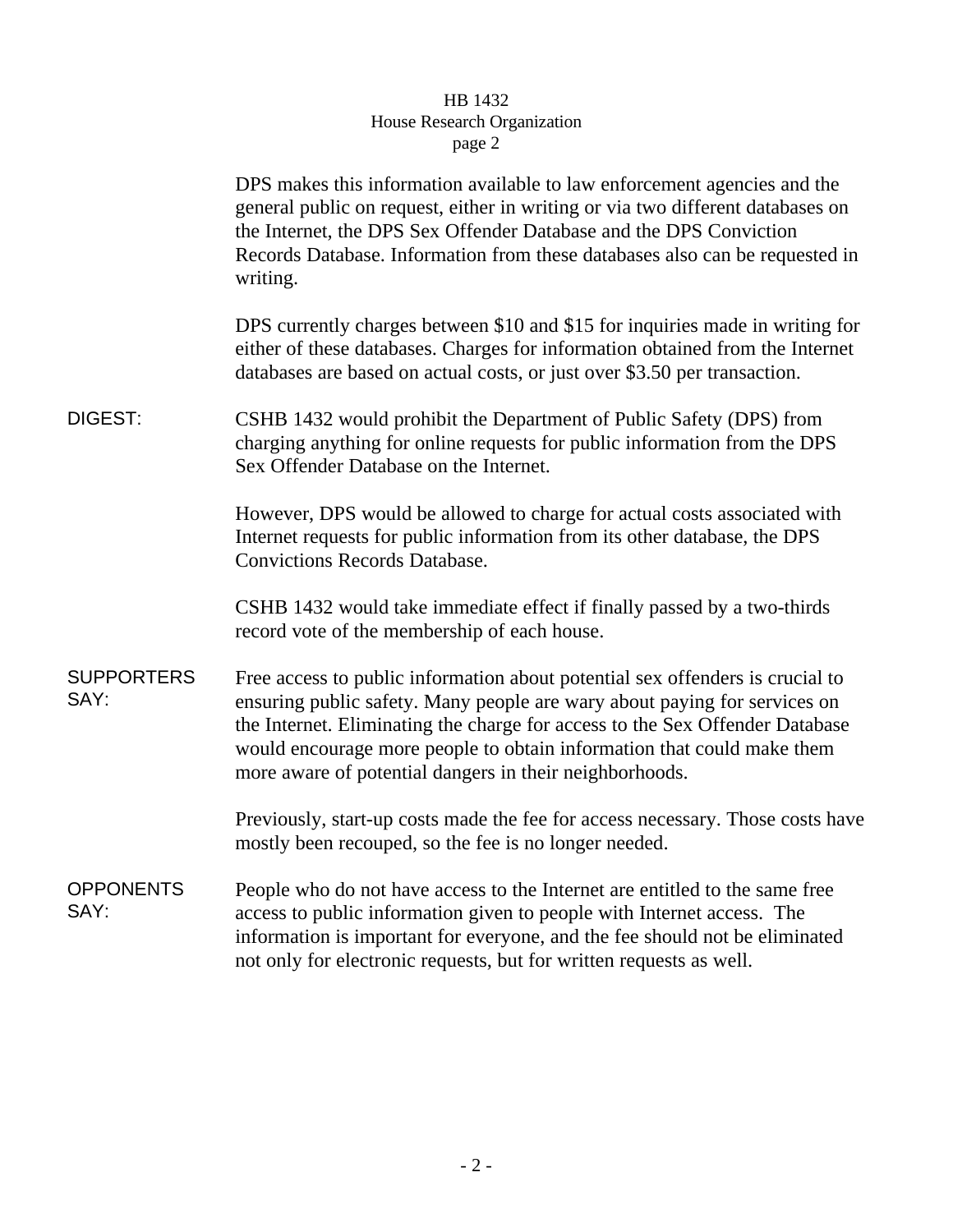## HB 1432 House Research Organization page 2

|                           | DPS makes this information available to law enforcement agencies and the<br>general public on request, either in writing or via two different databases on<br>the Internet, the DPS Sex Offender Database and the DPS Conviction<br>Records Database. Information from these databases also can be requested in<br>writing.                                                     |
|---------------------------|---------------------------------------------------------------------------------------------------------------------------------------------------------------------------------------------------------------------------------------------------------------------------------------------------------------------------------------------------------------------------------|
|                           | DPS currently charges between \$10 and \$15 for inquiries made in writing for<br>either of these databases. Charges for information obtained from the Internet<br>databases are based on actual costs, or just over \$3.50 per transaction.                                                                                                                                     |
| DIGEST:                   | CSHB 1432 would prohibit the Department of Public Safety (DPS) from<br>charging anything for online requests for public information from the DPS<br>Sex Offender Database on the Internet.                                                                                                                                                                                      |
|                           | However, DPS would be allowed to charge for actual costs associated with<br>Internet requests for public information from its other database, the DPS<br><b>Convictions Records Database.</b>                                                                                                                                                                                   |
|                           | CSHB 1432 would take immediate effect if finally passed by a two-thirds<br>record vote of the membership of each house.                                                                                                                                                                                                                                                         |
| <b>SUPPORTERS</b><br>SAY: | Free access to public information about potential sex offenders is crucial to<br>ensuring public safety. Many people are wary about paying for services on<br>the Internet. Eliminating the charge for access to the Sex Offender Database<br>would encourage more people to obtain information that could make them<br>more aware of potential dangers in their neighborhoods. |
|                           | Previously, start-up costs made the fee for access necessary. Those costs have<br>mostly been recouped, so the fee is no longer needed.                                                                                                                                                                                                                                         |
| <b>OPPONENTS</b><br>SAY:  | People who do not have access to the Internet are entitled to the same free<br>access to public information given to people with Internet access. The<br>information is important for everyone, and the fee should not be eliminated<br>not only for electronic requests, but for written requests as well.                                                                     |